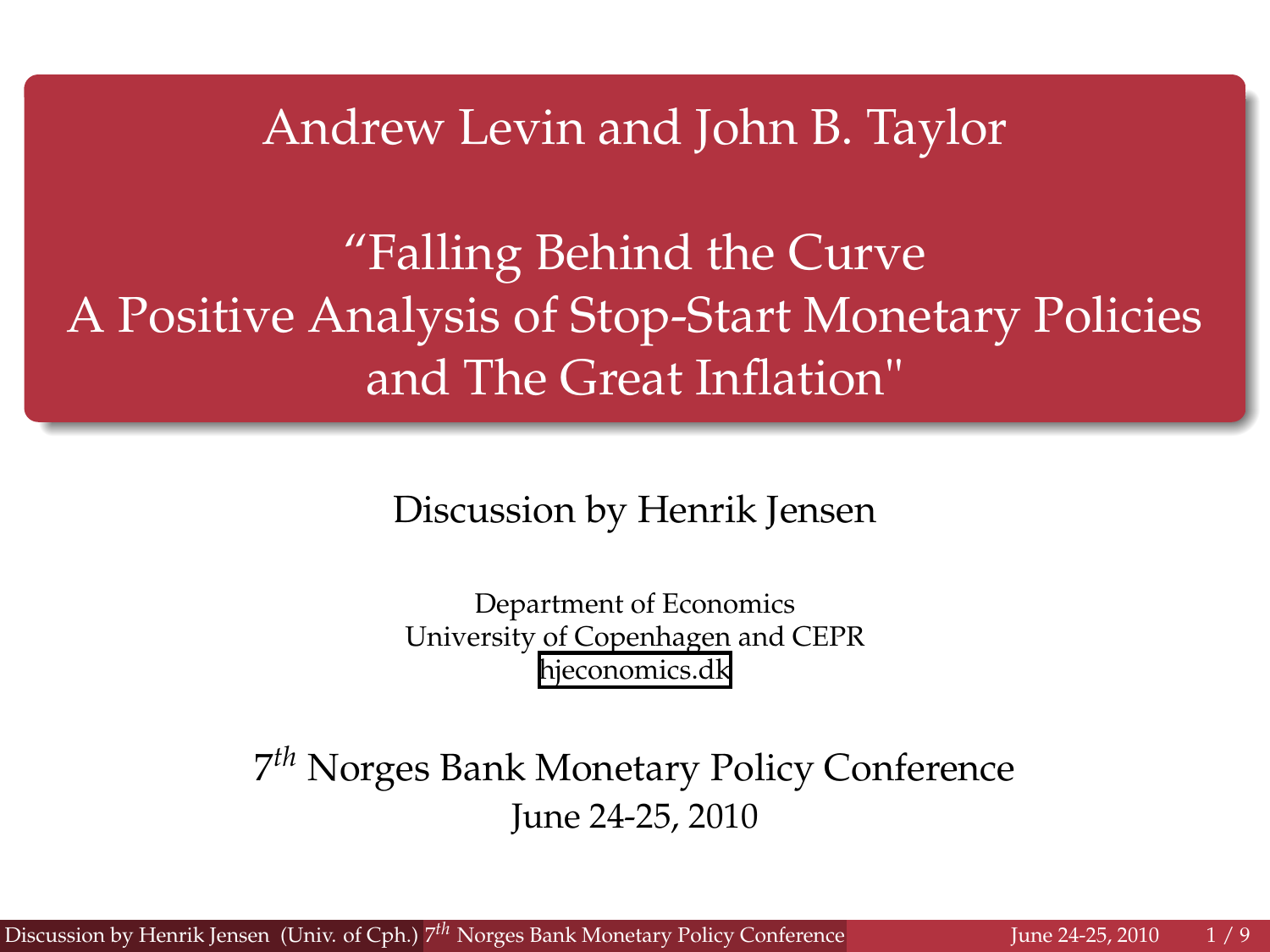Andrew Levin and John B. Taylor

"Falling Behind the Curve A Positive Analysis of Stop-Start Monetary Policies and The Great Inflation"

Discussion by Henrik Jensen

<span id="page-0-0"></span>Department of Economics University of Copenhagen and CEPR [hjeconomics.dk](http://hjeconomics.dk)

7 *th* Norges Bank Monetary Policy Conference June 24-25, 2010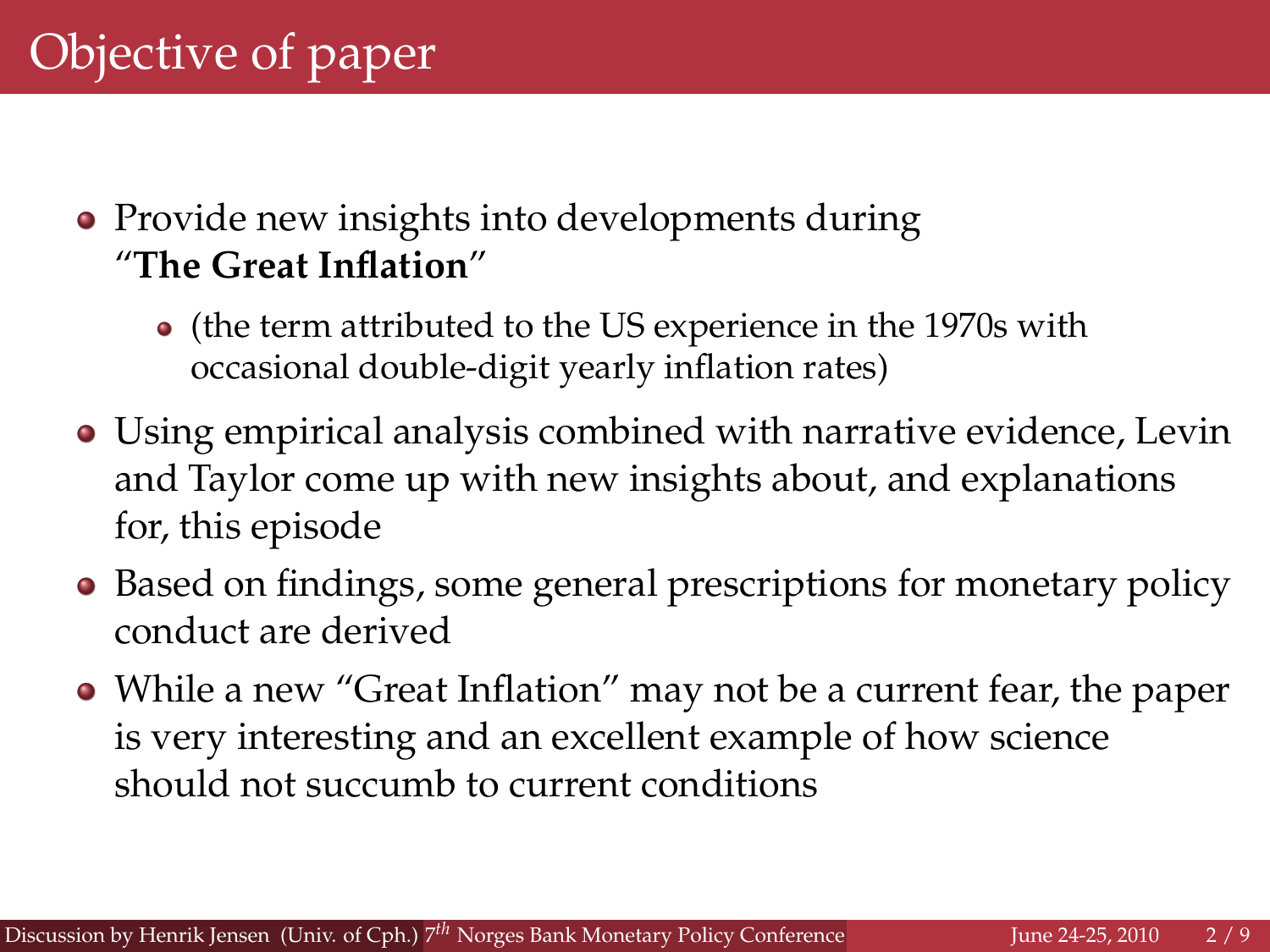- Provide new insights into developments during "**The Great Inflation**"
	- (the term attributed to the US experience in the 1970s with occasional double-digit yearly inflation rates)
- Using empirical analysis combined with narrative evidence, Levin and Taylor come up with new insights about, and explanations for, this episode
- Based on findings, some general prescriptions for monetary policy conduct are derived
- While a new "Great Inflation" may not be a current fear, the paper is very interesting and an excellent example of how science should not succumb to current conditions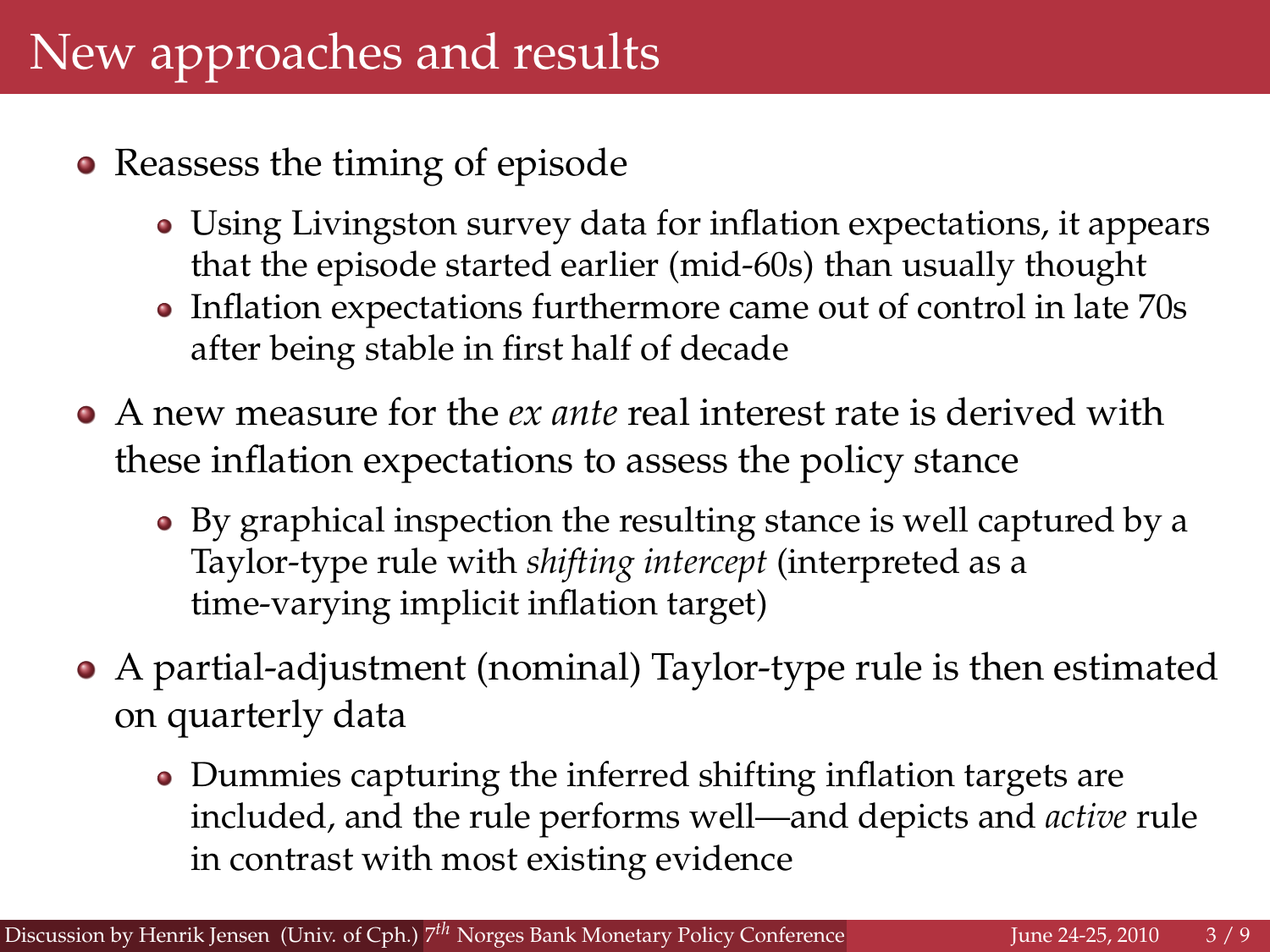- Reassess the timing of episode
	- Using Livingston survey data for inflation expectations, it appears that the episode started earlier (mid-60s) than usually thought
	- Inflation expectations furthermore came out of control in late 70s after being stable in first half of decade
- A new measure for the *ex ante* real interest rate is derived with these inflation expectations to assess the policy stance
	- By graphical inspection the resulting stance is well captured by a Taylor-type rule with *shifting intercept* (interpreted as a time-varying implicit inflation target)
- A partial-adjustment (nominal) Taylor-type rule is then estimated on quarterly data
	- Dummies capturing the inferred shifting inflation targets are included, and the rule performs well—and depicts and *active* rule in contrast with most existing evidence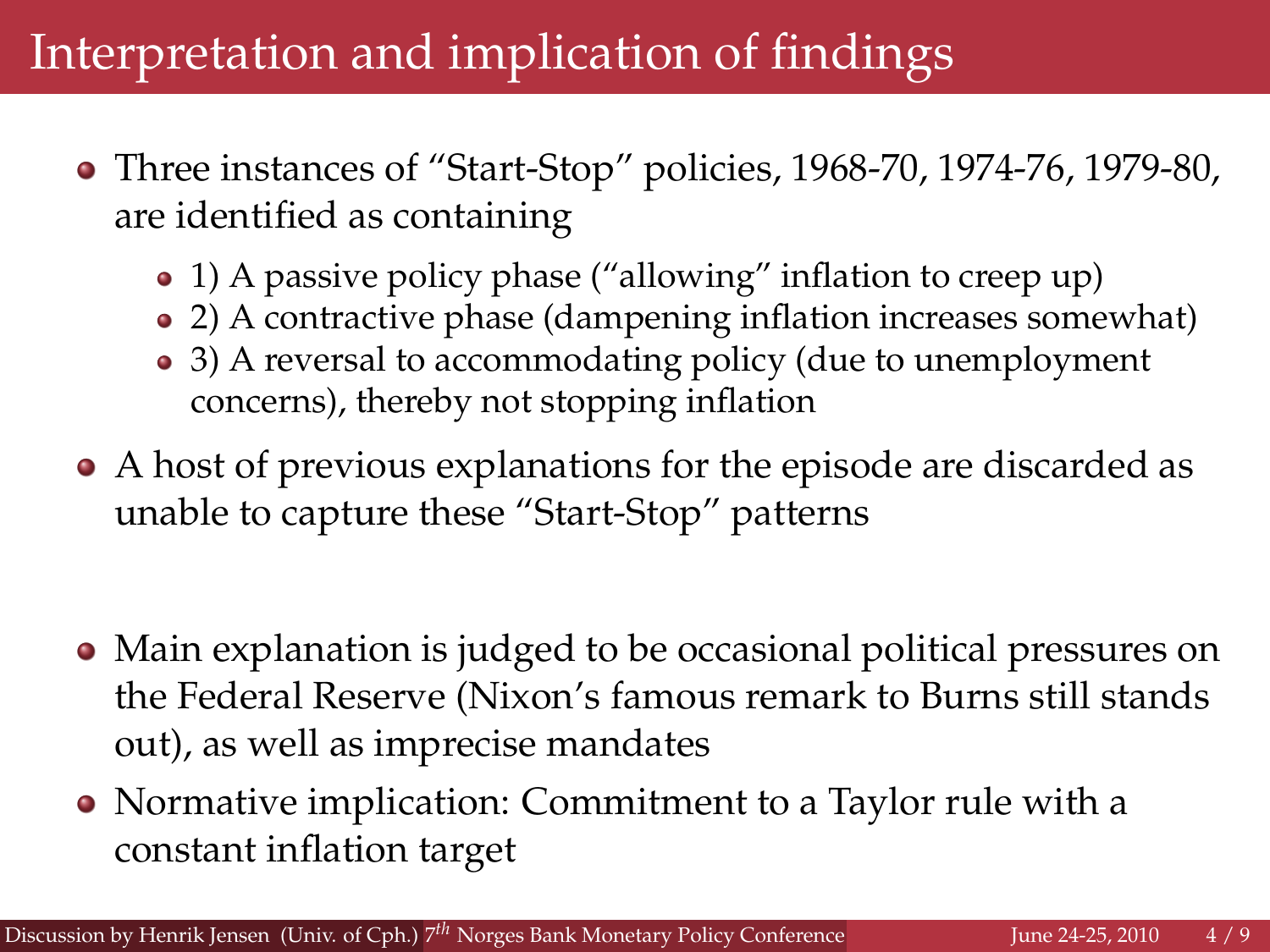## Interpretation and implication of findings

- Three instances of "Start-Stop" policies, 1968-70, 1974-76, 1979-80, are identified as containing
	- 1) A passive policy phase ("allowing" inflation to creep up)
	- 2) A contractive phase (dampening inflation increases somewhat)
	- 3) A reversal to accommodating policy (due to unemployment concerns), thereby not stopping inflation
- A host of previous explanations for the episode are discarded as unable to capture these "Start-Stop" patterns
- Main explanation is judged to be occasional political pressures on the Federal Reserve (Nixon's famous remark to Burns still stands out), as well as imprecise mandates
- Normative implication: Commitment to a Taylor rule with a constant inflation target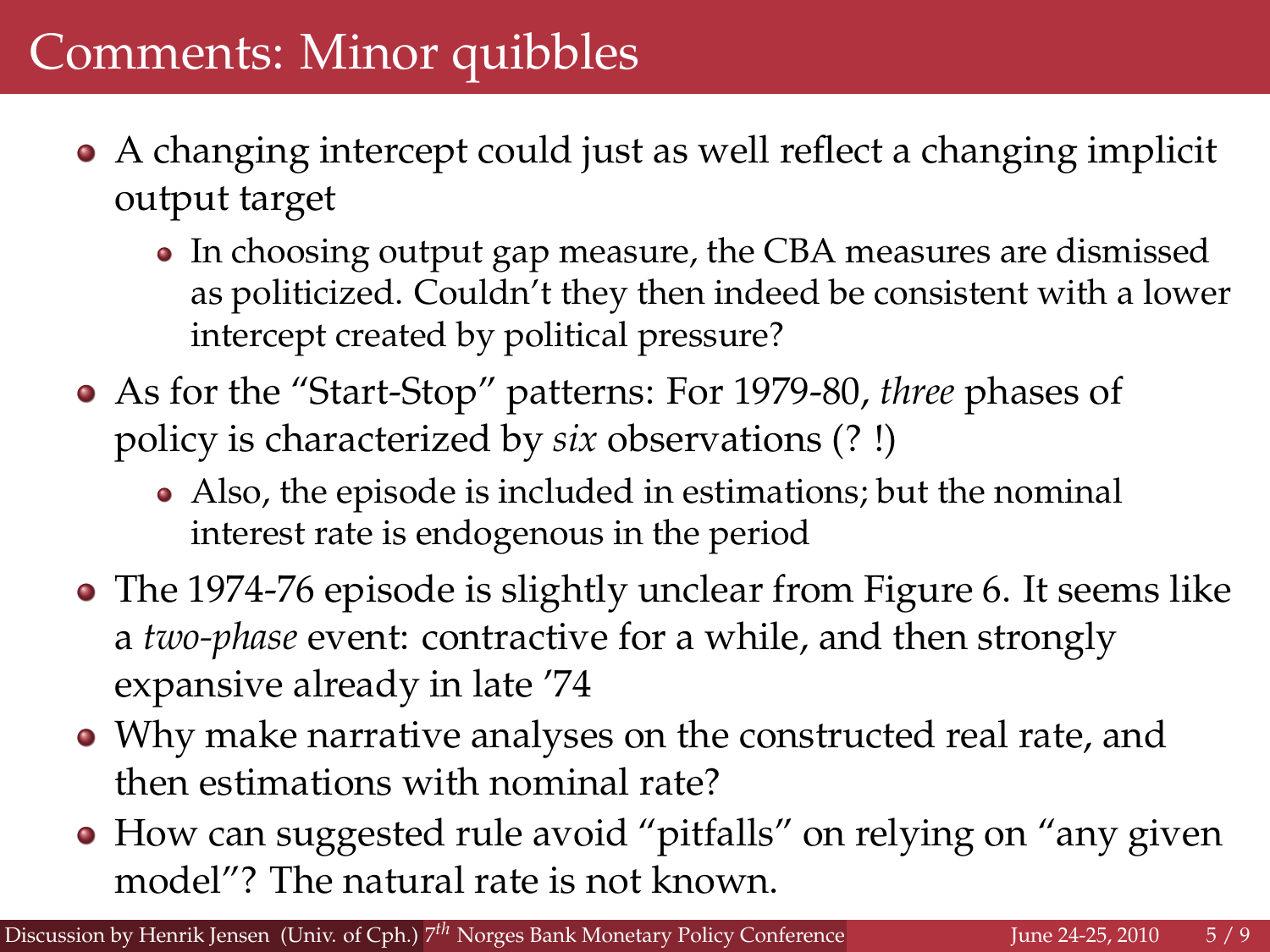- A changing intercept could just as well reflect a changing implicit output target
	- In choosing output gap measure, the CBA measures are dismissed as politicized. Couldn't they then indeed be consistent with a lower intercept created by political pressure?
- As for the "Start-Stop" patterns: For 1979-80, *three* phases of policy is characterized by *six* observations (? !)
	- Also, the episode is included in estimations; but the nominal interest rate is endogenous in the period
- The 1974-76 episode is slightly unclear from Figure 6. It seems like a *two-phase* event: contractive for a while, and then strongly expansive already in late '74
- Why make narrative analyses on the constructed real rate, and then estimations with nominal rate?
- How can suggested rule avoid "pitfalls" on relying on "any given model"? The natural rate is not known.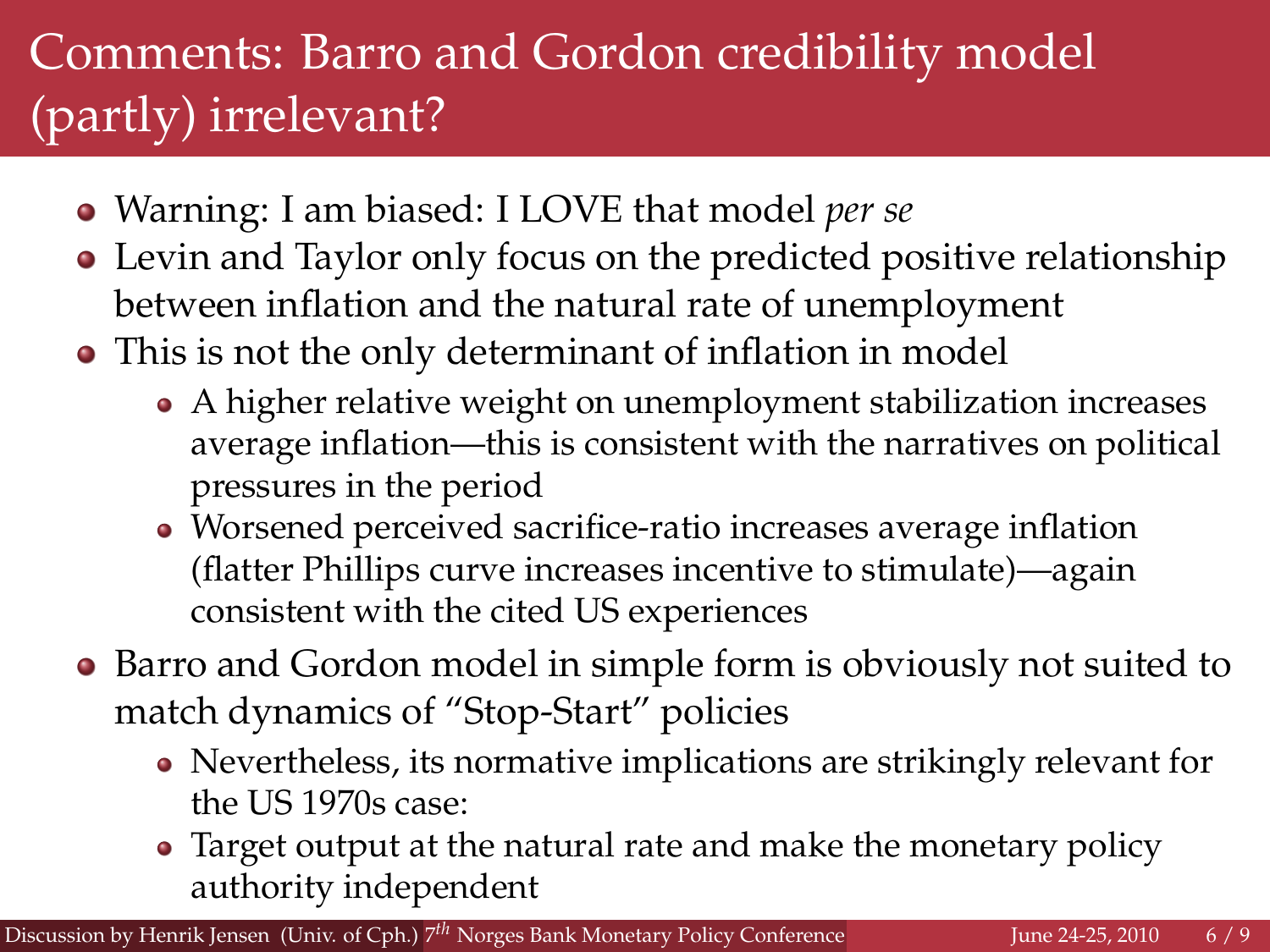## Comments: Barro and Gordon credibility model (partly) irrelevant?

- Warning: I am biased: I LOVE that model *per se*
- Levin and Taylor only focus on the predicted positive relationship between inflation and the natural rate of unemployment
- This is not the only determinant of inflation in model
	- A higher relative weight on unemployment stabilization increases average inflation—this is consistent with the narratives on political pressures in the period
	- Worsened perceived sacrifice-ratio increases average inflation (flatter Phillips curve increases incentive to stimulate)—again consistent with the cited US experiences
- Barro and Gordon model in simple form is obviously not suited to match dynamics of "Stop-Start" policies
	- Nevertheless, its normative implications are strikingly relevant for the US 1970s case:
	- Target output at the natural rate and make the monetary policy authority independent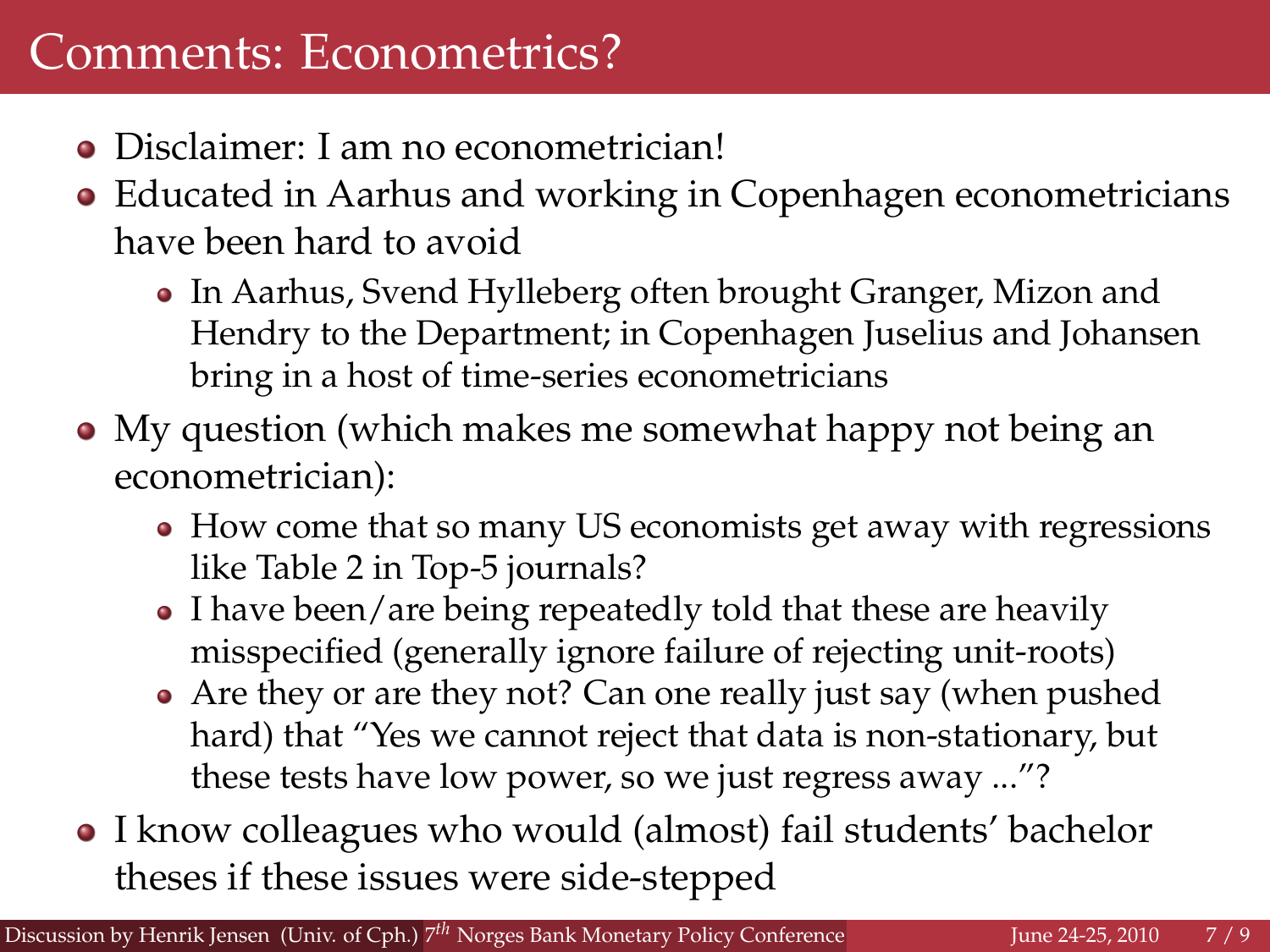## Comments: Econometrics?

- Disclaimer: I am no econometrician!
- Educated in Aarhus and working in Copenhagen econometricians have been hard to avoid
	- In Aarhus, Svend Hylleberg often brought Granger, Mizon and Hendry to the Department; in Copenhagen Juselius and Johansen bring in a host of time-series econometricians
- My question (which makes me somewhat happy not being an econometrician):
	- How come that so many US economists get away with regressions like Table 2 in Top-5 journals?
	- I have been/are being repeatedly told that these are heavily misspecified (generally ignore failure of rejecting unit-roots)
	- Are they or are they not? Can one really just say (when pushed hard) that "Yes we cannot reject that data is non-stationary, but these tests have low power, so we just regress away ..."?
- I know colleagues who would (almost) fail students' bachelor theses if these issues were side-stepped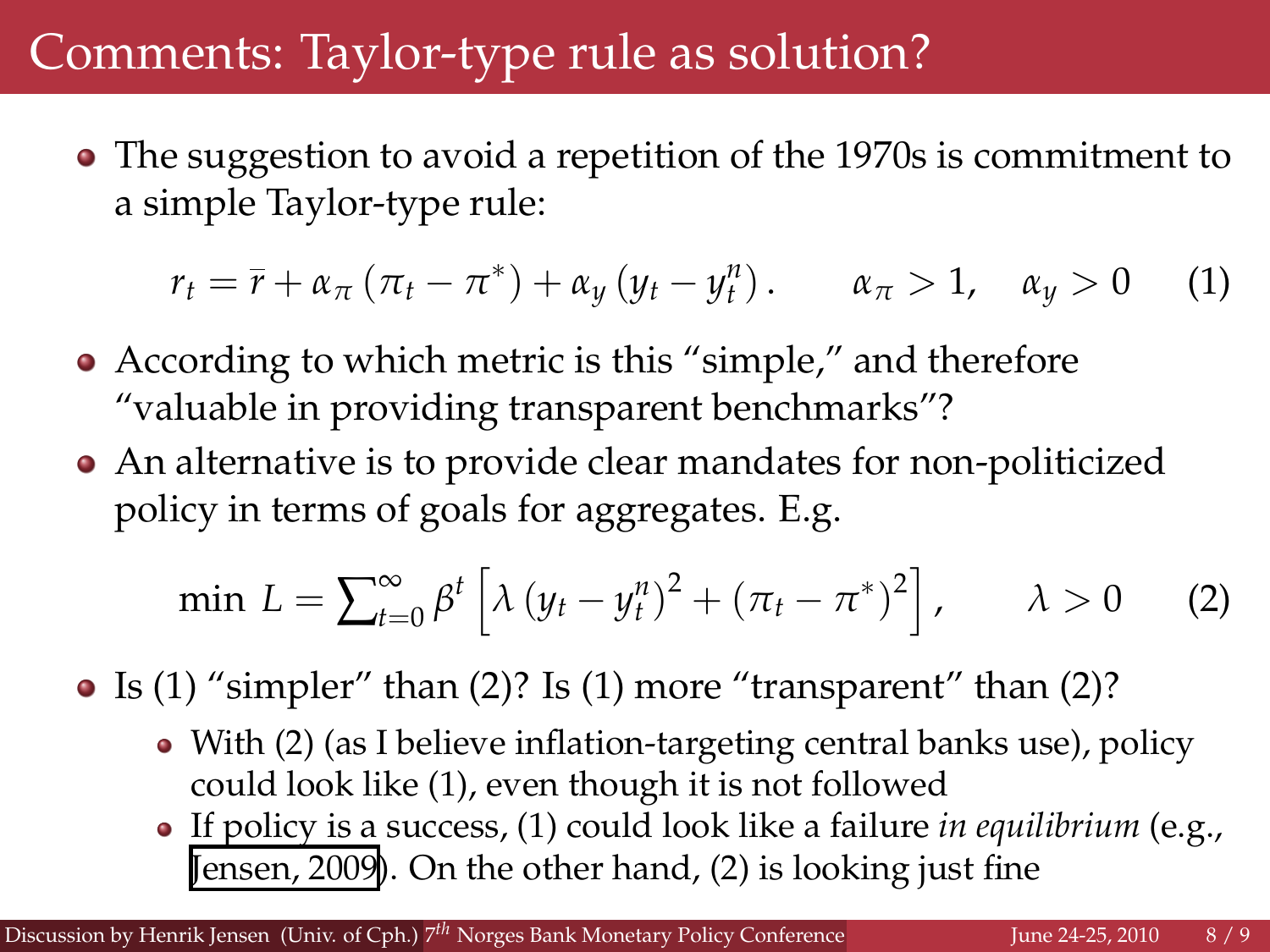## Comments: Taylor-type rule as solution?

The suggestion to avoid a repetition of the 1970s is commitment to a simple Taylor-type rule:

$$
r_t = \overline{r} + \alpha_{\pi} \left( \pi_t - \pi^* \right) + \alpha_{y} \left( y_t - y_t^n \right). \qquad \alpha_{\pi} > 1, \quad \alpha_{y} > 0 \qquad (1)
$$

- According to which metric is this "simple," and therefore "valuable in providing transparent benchmarks"?
- An alternative is to provide clear mandates for non-politicized policy in terms of goals for aggregates. E.g.

min 
$$
L = \sum_{t=0}^{\infty} \beta^t \left[ \lambda (y_t - y_t^n)^2 + (\pi_t - \pi^*)^2 \right], \quad \lambda > 0
$$
 (2)

• Is (1) "simpler" than (2)? Is (1) more "transparent" than (2)?

- With (2) (as I believe inflation-targeting central banks use), policy could look like (1), even though it is not followed
- If policy is a success, (1) could look like a failure *in equilibrium* (e.g., [Jensen, 2009](http://www.econ.ku.dk/personal/henrikj/pdf/Estimated4.pdf)). On the other hand, (2) is looking just fine